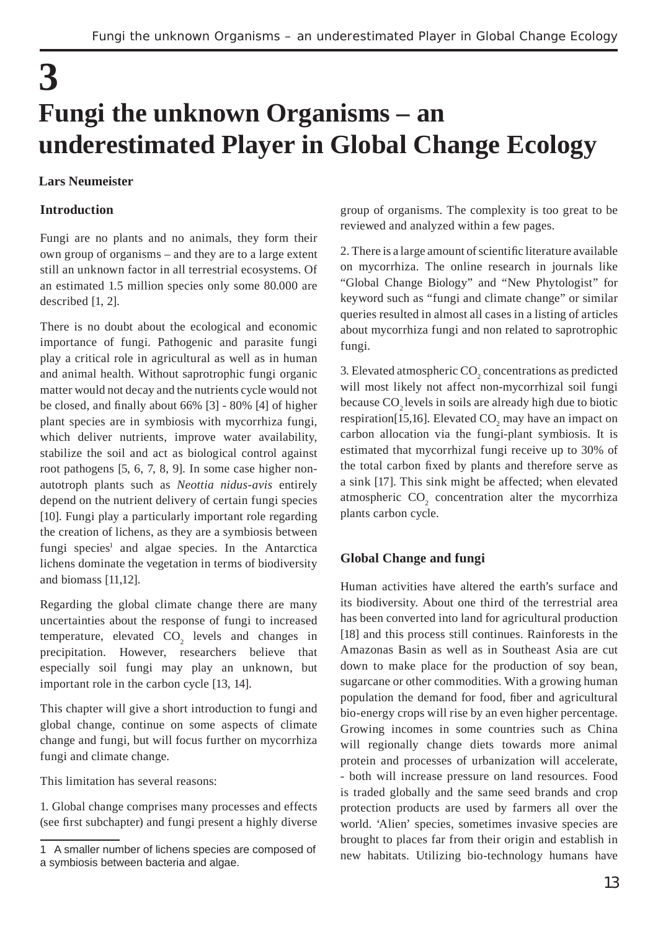# **3 Fungi the unknown Organisms – an underestimated Player in Global Change Ecology**

## **Lars Neumeister**

## **Introduction**

Fungi are no plants and no animals, they form their own group of organisms – and they are to a large extent still an unknown factor in all terrestrial ecosystems. Of an estimated 1.5 million species only some 80.000 are described [1, 2].

There is no doubt about the ecological and economic importance of fungi. Pathogenic and parasite fungi play a critical role in agricultural as well as in human and animal health. Without saprotrophic fungi organic matter would not decay and the nutrients cycle would not be closed, and finally about  $66\%$  [3] -  $80\%$  [4] of higher plant species are in symbiosis with mycorrhiza fungi, which deliver nutrients, improve water availability, stabilize the soil and act as biological control against root pathogens [5, 6, 7, 8, 9]. In some case higher nonautotroph plants such as *Neottia nidus-avis* entirely depend on the nutrient delivery of certain fungi species [10]. Fungi play a particularly important role regarding the creation of lichens, as they are a symbiosis between fungi species<sup>1</sup> and algae species. In the Antarctica lichens dominate the vegetation in terms of biodiversity and biomass [11,12].

Regarding the global climate change there are many uncertainties about the response of fungi to increased temperature, elevated  $CO<sub>2</sub>$  levels and changes in precipitation. However, researchers believe that especially soil fungi may play an unknown, but important role in the carbon cycle [13, 14].

This chapter will give a short introduction to fungi and global change, continue on some aspects of climate change and fungi, but will focus further on mycorrhiza fungi and climate change.

This limitation has several reasons:

1. Global change comprises many processes and effects (see first subchapter) and fungi present a highly diverse group of organisms. The complexity is too great to be reviewed and analyzed within a few pages.

2. There is a large amount of scientific literature available on mycorrhiza. The online research in journals like "Global Change Biology" and "New Phytologist" for keyword such as "fungi and climate change" or similar queries resulted in almost all cases in a listing of articles about mycorrhiza fungi and non related to saprotrophic fungi.

3. Elevated atmospheric  $\mathrm{CO}_2$  concentrations as predicted will most likely not affect non-mycorrhizal soil fungi because CO<sub>2</sub> levels in soils are already high due to biotic respiration[15,16]. Elevated  $CO_2$  may have an impact on carbon allocation via the fungi-plant symbiosis. It is estimated that mycorrhizal fungi receive up to 30% of the total carbon fixed by plants and therefore serve as a sink [17]. This sink might be affected; when elevated atmospheric  $CO<sub>2</sub>$  concentration alter the mycorrhiza plants carbon cycle.

#### **Global Change and fungi**

Human activities have altered the earth's surface and its biodiversity. About one third of the terrestrial area has been converted into land for agricultural production [18] and this process still continues. Rainforests in the Amazonas Basin as well as in Southeast Asia are cut down to make place for the production of soy bean, sugarcane or other commodities. With a growing human population the demand for food, fiber and agricultural bio-energy crops will rise by an even higher percentage. Growing incomes in some countries such as China will regionally change diets towards more animal protein and processes of urbanization will accelerate, - both will increase pressure on land resources. Food is traded globally and the same seed brands and crop protection products are used by farmers all over the world. 'Alien' species, sometimes invasive species are brought to places far from their origin and establish in new habitats. Utilizing bio-technology humans have

<sup>1</sup> A smaller number of lichens species are composed of a symbiosis between bacteria and algae.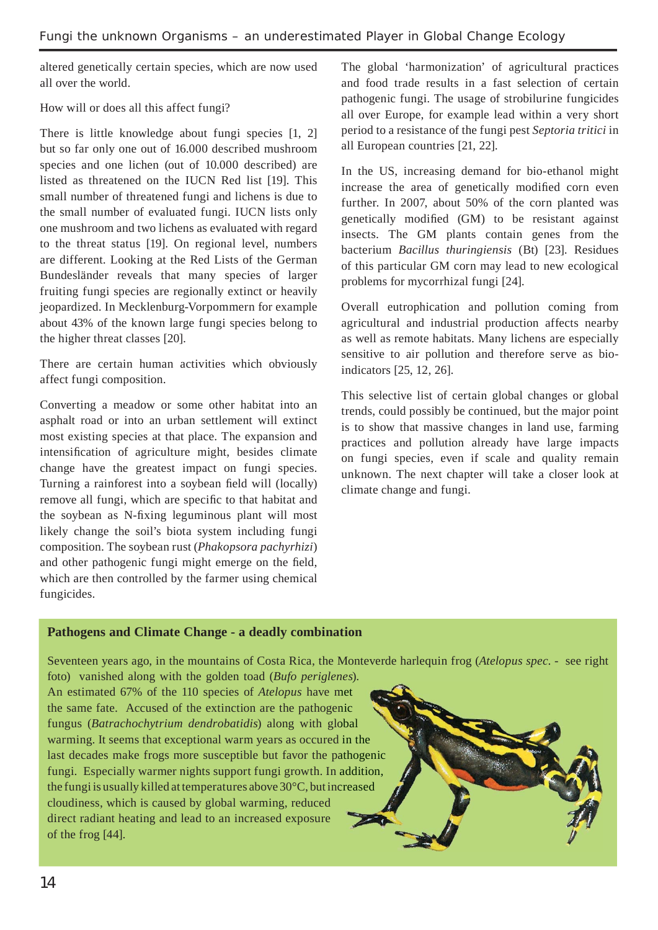altered genetically certain species, which are now used all over the world.

How will or does all this affect fungi?

There is little knowledge about fungi species [1, 2] but so far only one out of 16.000 described mushroom species and one lichen (out of 10.000 described) are listed as threatened on the IUCN Red list [19]. This small number of threatened fungi and lichens is due to the small number of evaluated fungi. IUCN lists only one mushroom and two lichens as evaluated with regard to the threat status [19]. On regional level, numbers are different. Looking at the Red Lists of the German Bundesländer reveals that many species of larger fruiting fungi species are regionally extinct or heavily jeopardized. In Mecklenburg-Vorpommern for example about 43% of the known large fungi species belong to the higher threat classes [20].

There are certain human activities which obviously affect fungi composition.

Converting a meadow or some other habitat into an asphalt road or into an urban settlement will extinct most existing species at that place. The expansion and intensification of agriculture might, besides climate change have the greatest impact on fungi species. Turning a rainforest into a soybean field will (locally) remove all fungi, which are specific to that habitat and the soybean as N-fixing leguminous plant will most likely change the soil's biota system including fungi composition. The soybean rust (*Phakopsora pachyrhizi*) and other pathogenic fungi might emerge on the field. which are then controlled by the farmer using chemical fungicides.

The global 'harmonization' of agricultural practices and food trade results in a fast selection of certain pathogenic fungi. The usage of strobilurine fungicides all over Europe, for example lead within a very short period to a resistance of the fungi pest *Septoria tritici* in all European countries [21, 22].

In the US, increasing demand for bio-ethanol might increase the area of genetically modified corn even further. In 2007, about 50% of the corn planted was genetically modified (GM) to be resistant against insects. The GM plants contain genes from the bacterium *Bacillus thuringiensis* (Bt) [23]. Residues of this particular GM corn may lead to new ecological problems for mycorrhizal fungi [24].

Overall eutrophication and pollution coming from agricultural and industrial production affects nearby as well as remote habitats. Many lichens are especially sensitive to air pollution and therefore serve as bioindicators [25, 12, 26].

This selective list of certain global changes or global trends, could possibly be continued, but the major point is to show that massive changes in land use, farming practices and pollution already have large impacts on fungi species, even if scale and quality remain unknown. The next chapter will take a closer look at climate change and fungi.

## **Pathogens and Climate Change - a deadly combination**

Seventeen years ago, in the mountains of Costa Rica, the Monteverde harlequin frog (*Atelopus spec*. - see right

foto) vanished along with the golden toad (*Bufo periglenes*). ) An estimated 67% of the 110 species of *Atelopus* have met the same fate. Accused of the extinction are the pathogenic fungus (*Batrachochytrium dendrobatidis*) along with global fungus (Batrachochytrium dendrobatidis) along with global warming. It seems that exceptional warm years as occured in the last decades make frogs more susceptible but favor the pathogenic fungi. Especially warmer nights support fungi growth. In addition, the fungi is usually killed at temperatures above 30°C, but increased cloudiness, which is caused by global warming, reduced direct radiant heating and lead to an increased exposure of the frog [44].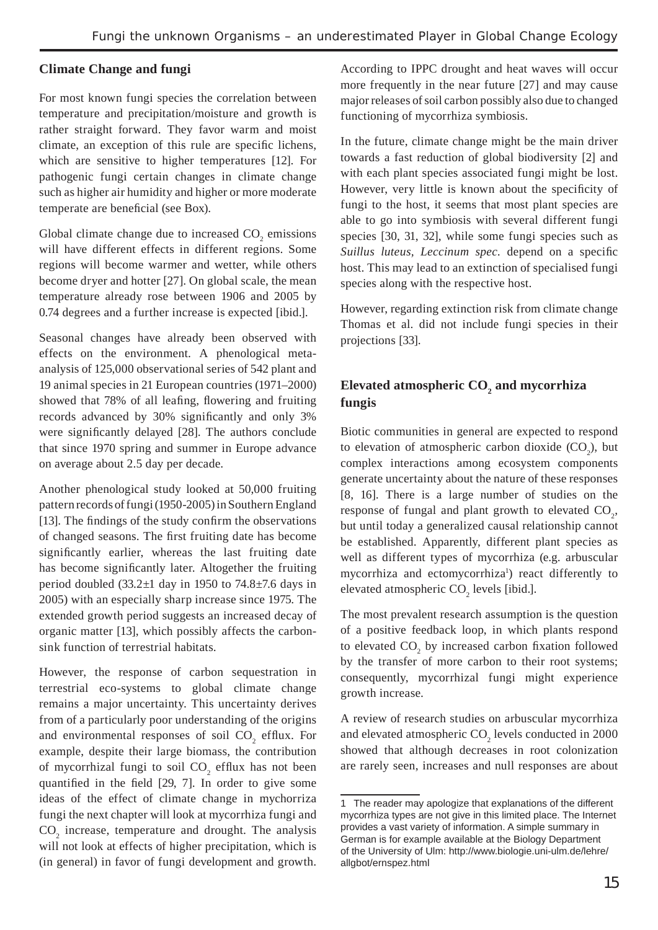## **Climate Change and fungi**

For most known fungi species the correlation between temperature and precipitation/moisture and growth is rather straight forward. They favor warm and moist climate, an exception of this rule are specific lichens, which are sensitive to higher temperatures [12]. For pathogenic fungi certain changes in climate change such as higher air humidity and higher or more moderate temperate are beneficial (see Box).

Global climate change due to increased  $CO<sub>2</sub>$  emissions will have different effects in different regions. Some regions will become warmer and wetter, while others become dryer and hotter [27]. On global scale, the mean temperature already rose between 1906 and 2005 by 0.74 degrees and a further increase is expected [ibid.].

Seasonal changes have already been observed with effects on the environment. A phenological metaanalysis of 125,000 observational series of 542 plant and 19 animal species in 21 European countries (1971–2000) showed that 78% of all leafing, flowering and fruiting records advanced by 30% significantly and only 3% were significantly delayed [28]. The authors conclude that since 1970 spring and summer in Europe advance on average about 2.5 day per decade.

Another phenological study looked at 50,000 fruiting pattern records of fungi (1950-2005) in Southern England [13]. The findings of the study confirm the observations of changed seasons. The first fruiting date has become significantly earlier, whereas the last fruiting date has become significantly later. Altogether the fruiting period doubled  $(33.2\pm1)$  day in 1950 to 74.8 $\pm$ 7.6 days in 2005) with an especially sharp increase since 1975. The extended growth period suggests an increased decay of organic matter [13], which possibly affects the carbonsink function of terrestrial habitats.

However, the response of carbon sequestration in terrestrial eco-systems to global climate change remains a major uncertainty. This uncertainty derives from of a particularly poor understanding of the origins and environmental responses of soil  $CO<sub>2</sub>$  efflux. For example, despite their large biomass, the contribution of mycorrhizal fungi to soil  $CO_2$  efflux has not been quantified in the field  $[29, 7]$ . In order to give some ideas of the effect of climate change in mychorriza fungi the next chapter will look at mycorrhiza fungi and  $CO<sub>2</sub>$  increase, temperature and drought. The analysis will not look at effects of higher precipitation, which is (in general) in favor of fungi development and growth.

According to IPPC drought and heat waves will occur more frequently in the near future [27] and may cause major releases of soil carbon possibly also due to changed functioning of mycorrhiza symbiosis.

In the future, climate change might be the main driver towards a fast reduction of global biodiversity [2] and with each plant species associated fungi might be lost. However, very little is known about the specificity of fungi to the host, it seems that most plant species are able to go into symbiosis with several different fungi species [30, 31, 32], while some fungi species such as *Suillus luteus, Leccinum spec.* depend on a specific host. This may lead to an extinction of specialised fungi species along with the respective host.

However, regarding extinction risk from climate change Thomas et al. did not include fungi species in their projections [33].

# Elevated atmospheric CO<sub>2</sub> and mycorrhiza **fungis**

Biotic communities in general are expected to respond to elevation of atmospheric carbon dioxide  $(CO_2)$ , but complex interactions among ecosystem components generate uncertainty about the nature of these responses [8, 16]. There is a large number of studies on the response of fungal and plant growth to elevated  $CO<sub>2</sub>$ , but until today a generalized causal relationship cannot be established. Apparently, different plant species as well as different types of mycorrhiza (e.g. arbuscular mycorrhiza and ectomycorrhiza<sup>1</sup>) react differently to elevated atmospheric  $CO<sub>2</sub>$  levels [ibid.].

The most prevalent research assumption is the question of a positive feedback loop, in which plants respond to elevated  $CO_2$  by increased carbon fixation followed by the transfer of more carbon to their root systems; consequently, mycorrhizal fungi might experience growth increase.

A review of research studies on arbuscular mycorrhiza and elevated atmospheric  $CO_2$  levels conducted in 2000 showed that although decreases in root colonization are rarely seen, increases and null responses are about

<sup>1</sup> The reader may apologize that explanations of the different mycorrhiza types are not give in this limited place. The Internet provides a vast variety of information. A simple summary in German is for example available at the Biology Department of the University of Ulm: http://www.biologie.uni-ulm.de/lehre/ allgbot/ernspez.html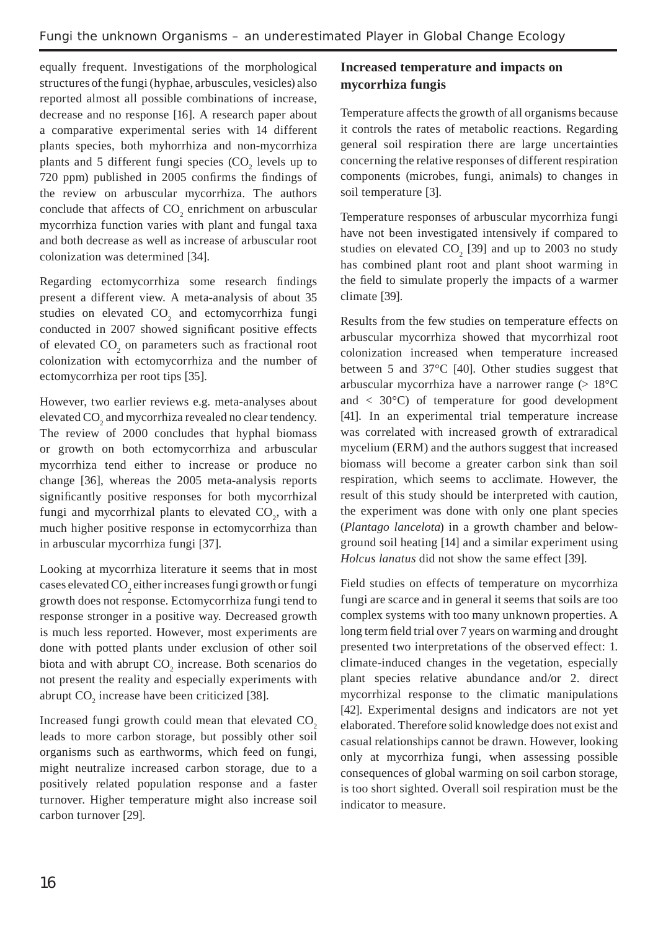equally frequent. Investigations of the morphological structures of the fungi (hyphae, arbuscules, vesicles) also reported almost all possible combinations of increase, decrease and no response [16]. A research paper about a comparative experimental series with 14 different plants species, both myhorrhiza and non-mycorrhiza plants and 5 different fungi species  $(CO_2)$  levels up to  $720$  ppm) published in  $2005$  confirms the findings of the review on arbuscular mycorrhiza. The authors conclude that affects of  $CO_2$  enrichment on arbuscular mycorrhiza function varies with plant and fungal taxa and both decrease as well as increase of arbuscular root colonization was determined [34].

Regarding ectomycorrhiza some research findings present a different view. A meta-analysis of about 35 studies on elevated  $CO<sub>2</sub>$  and ectomycorrhiza fungi conducted in 2007 showed significant positive effects of elevated  $CO<sub>2</sub>$  on parameters such as fractional root colonization with ectomycorrhiza and the number of ectomycorrhiza per root tips [35].

However, two earlier reviews e.g. meta-analyses about elevated  $\mathrm{CO}_2$  and mycorrhiza revealed no clear tendency. The review of 2000 concludes that hyphal biomass or growth on both ectomycorrhiza and arbuscular mycorrhiza tend either to increase or produce no change [36], whereas the 2005 meta-analysis reports significantly positive responses for both mycorrhizal fungi and mycorrhizal plants to elevated  $CO<sub>2</sub>$ , with a much higher positive response in ectomycorrhiza than in arbuscular mycorrhiza fungi [37].

Looking at mycorrhiza literature it seems that in most cases elevated  $\mathrm{CO}_2$  either increases fungi growth or fungi growth does not response. Ectomycorrhiza fungi tend to response stronger in a positive way. Decreased growth is much less reported. However, most experiments are done with potted plants under exclusion of other soil biota and with abrupt  $CO_2$  increase. Both scenarios do not present the reality and especially experiments with abrupt  $CO_2$  increase have been criticized [38].

Increased fungi growth could mean that elevated  $CO<sub>2</sub>$ leads to more carbon storage, but possibly other soil organisms such as earthworms, which feed on fungi, might neutralize increased carbon storage, due to a positively related population response and a faster turnover. Higher temperature might also increase soil carbon turnover [29].

# **Increased temperature and impacts on mycorrhiza fungis**

Temperature affects the growth of all organisms because it controls the rates of metabolic reactions. Regarding general soil respiration there are large uncertainties concerning the relative responses of different respiration components (microbes, fungi, animals) to changes in soil temperature [3].

Temperature responses of arbuscular mycorrhiza fungi have not been investigated intensively if compared to studies on elevated  $CO_2$  [39] and up to 2003 no study has combined plant root and plant shoot warming in the field to simulate properly the impacts of a warmer climate [39].

Results from the few studies on temperature effects on arbuscular mycorrhiza showed that mycorrhizal root colonization increased when temperature increased between 5 and 37°C [40]. Other studies suggest that arbuscular mycorrhiza have a narrower range  $(> 18^{\circ}C)$ and  $\langle 30^{\circ}$ C) of temperature for good development [41]. In an experimental trial temperature increase was correlated with increased growth of extraradical mycelium (ERM) and the authors suggest that increased biomass will become a greater carbon sink than soil respiration, which seems to acclimate. However, the result of this study should be interpreted with caution, the experiment was done with only one plant species (*Plantago lancelota*) in a growth chamber and belowground soil heating [14] and a similar experiment using *Holcus lanatus* did not show the same effect [39].

Field studies on effects of temperature on mycorrhiza fungi are scarce and in general it seems that soils are too complex systems with too many unknown properties. A long term field trial over 7 years on warming and drought presented two interpretations of the observed effect: 1. climate-induced changes in the vegetation, especially plant species relative abundance and/or 2. direct mycorrhizal response to the climatic manipulations [42]. Experimental designs and indicators are not yet elaborated. Therefore solid knowledge does not exist and casual relationships cannot be drawn. However, looking only at mycorrhiza fungi, when assessing possible consequences of global warming on soil carbon storage, is too short sighted. Overall soil respiration must be the indicator to measure.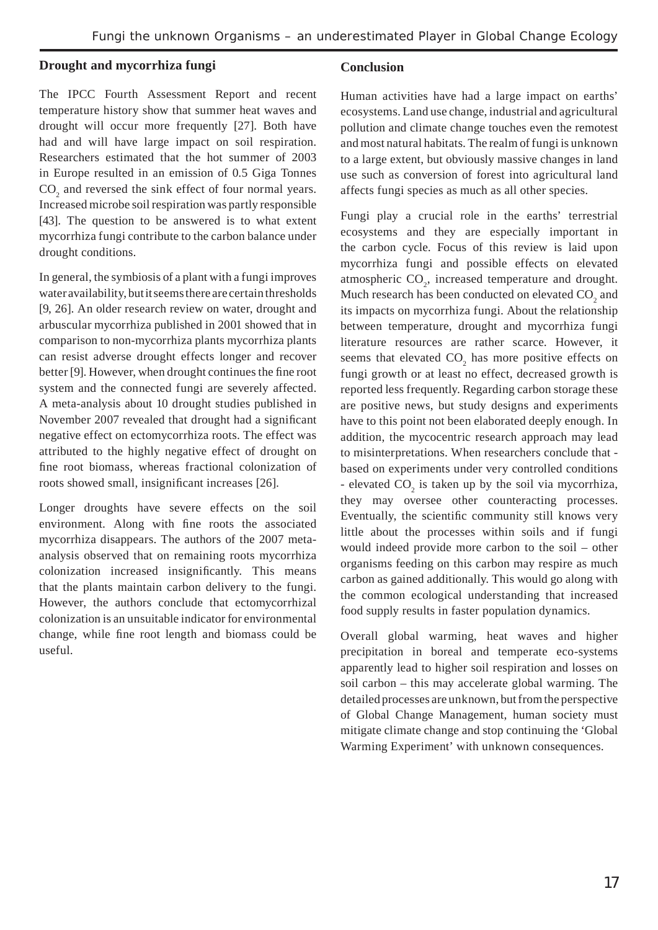## **Drought and mycorrhiza fungi**

The IPCC Fourth Assessment Report and recent temperature history show that summer heat waves and drought will occur more frequently [27]. Both have had and will have large impact on soil respiration. Researchers estimated that the hot summer of 2003 in Europe resulted in an emission of 0.5 Giga Tonnes  $CO<sub>2</sub>$  and reversed the sink effect of four normal years. Increased microbe soil respiration was partly responsible [43]. The question to be answered is to what extent mycorrhiza fungi contribute to the carbon balance under drought conditions.

In general, the symbiosis of a plant with a fungi improves water availability, but it seems there are certain thresholds [9, 26]. An older research review on water, drought and arbuscular mycorrhiza published in 2001 showed that in comparison to non-mycorrhiza plants mycorrhiza plants can resist adverse drought effects longer and recover better [9]. However, when drought continues the fine root system and the connected fungi are severely affected. A meta-analysis about 10 drought studies published in November 2007 revealed that drought had a significant negative effect on ectomycorrhiza roots. The effect was attributed to the highly negative effect of drought on fine root biomass, whereas fractional colonization of roots showed small, insignificant increases [26].

Longer droughts have severe effects on the soil environment. Along with fine roots the associated mycorrhiza disappears. The authors of the 2007 metaanalysis observed that on remaining roots mycorrhiza colonization increased insignificantly. This means that the plants maintain carbon delivery to the fungi. However, the authors conclude that ectomycorrhizal colonization is an unsuitable indicator for environmental change, while fine root length and biomass could be useful.

#### **Conclusion**

Human activities have had a large impact on earths' ecosystems. Land use change, industrial and agricultural pollution and climate change touches even the remotest and most natural habitats. The realm of fungi is unknown to a large extent, but obviously massive changes in land use such as conversion of forest into agricultural land affects fungi species as much as all other species.

Fungi play a crucial role in the earths' terrestrial ecosystems and they are especially important in the carbon cycle. Focus of this review is laid upon mycorrhiza fungi and possible effects on elevated atmospheric  $CO<sub>2</sub>$ , increased temperature and drought. Much research has been conducted on elevated  $CO<sub>2</sub>$  and its impacts on mycorrhiza fungi. About the relationship between temperature, drought and mycorrhiza fungi literature resources are rather scarce. However, it seems that elevated  $CO<sub>2</sub>$  has more positive effects on fungi growth or at least no effect, decreased growth is reported less frequently. Regarding carbon storage these are positive news, but study designs and experiments have to this point not been elaborated deeply enough. In addition, the mycocentric research approach may lead to misinterpretations. When researchers conclude that based on experiments under very controlled conditions - elevated  $CO_2$  is taken up by the soil via mycorrhiza, they may oversee other counteracting processes. Eventually, the scientific community still knows very little about the processes within soils and if fungi would indeed provide more carbon to the soil – other organisms feeding on this carbon may respire as much carbon as gained additionally. This would go along with the common ecological understanding that increased food supply results in faster population dynamics.

Overall global warming, heat waves and higher precipitation in boreal and temperate eco-systems apparently lead to higher soil respiration and losses on soil carbon – this may accelerate global warming. The detailed processes are unknown, but from the perspective of Global Change Management, human society must mitigate climate change and stop continuing the 'Global Warming Experiment' with unknown consequences.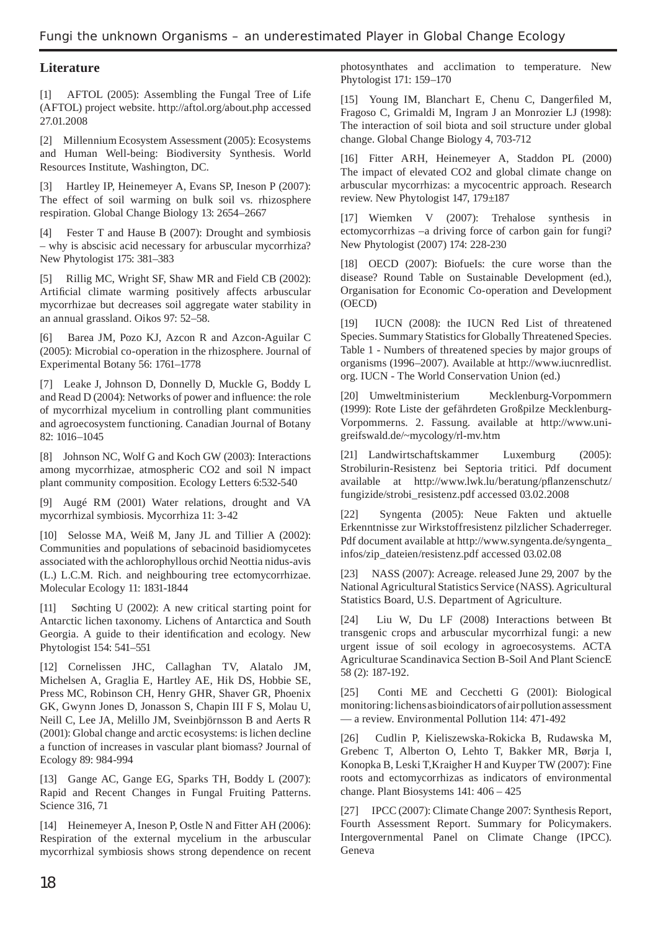## **Literature**

[1] AFTOL (2005): Assembling the Fungal Tree of Life (AFTOL) project website. http://aftol.org/about.php accessed 27.01.2008

[2] Millennium Ecosystem Assessment (2005): Ecosystems and Human Well-being: Biodiversity Synthesis. World Resources Institute, Washington, DC.

[3] Hartley IP, Heinemeyer A, Evans SP, Ineson P (2007): The effect of soil warming on bulk soil vs. rhizosphere respiration. Global Change Biology 13: 2654–2667

[4] Fester T and Hause B (2007): Drought and symbiosis – why is abscisic acid necessary for arbuscular mycorrhiza? New Phytologist 175: 381–383

[5] Rillig MC, Wright SF, Shaw MR and Field CB (2002): Artificial climate warming positively affects arbuscular mycorrhizae but decreases soil aggregate water stability in an annual grassland. Oikos 97: 52–58.

[6] Barea JM, Pozo KJ, Azcon R and Azcon-Aguilar C (2005): Microbial co-operation in the rhizosphere. Journal of Experimental Botany 56: 1761–1778

[7] Leake J, Johnson D, Donnelly D, Muckle G, Boddy L and Read D (2004): Networks of power and influence: the role of mycorrhizal mycelium in controlling plant communities and agroecosystem functioning. Canadian Journal of Botany 82: 1016–1045

[8] Johnson NC, Wolf G and Koch GW (2003): Interactions among mycorrhizae, atmospheric CO2 and soil N impact plant community composition. Ecology Letters 6:532-540

[9] Augé RM (2001) Water relations, drought and VA mycorrhizal symbiosis. Mycorrhiza 11: 3-42

[10] Selosse MA, Weiß M, Jany JL and Tillier A (2002): Communities and populations of sebacinoid basidiomycetes associated with the achlorophyllous orchid Neottia nidus-avis (L.) L.C.M. Rich. and neighbouring tree ectomycorrhizae. Molecular Ecology 11: 1831-1844

[11] Søchting U (2002): A new critical starting point for Antarctic lichen taxonomy. Lichens of Antarctica and South Georgia. A guide to their identification and ecology. New Phytologist 154: 541–551

[12] Cornelissen JHC, Callaghan TV, Alatalo JM, Michelsen A, Graglia E, Hartley AE, Hik DS, Hobbie SE, Press MC, Robinson CH, Henry GHR, Shaver GR, Phoenix GK, Gwynn Jones D, Jonasson S, Chapin III F S, Molau U, Neill C, Lee JA, Melillo JM, Sveinbjörnsson B and Aerts R (2001): Global change and arctic ecosystems: is lichen decline a function of increases in vascular plant biomass? Journal of Ecology 89: 984-994

[13] Gange AC, Gange EG, Sparks TH, Boddy L (2007): Rapid and Recent Changes in Fungal Fruiting Patterns. Science 316, 71

[14] Heinemeyer A, Ineson P, Ostle N and Fitter AH (2006): Respiration of the external mycelium in the arbuscular mycorrhizal symbiosis shows strong dependence on recent photosynthates and acclimation to temperature. New Phytologist 171: 159–170

[15] Young IM, Blanchart E, Chenu C, Dangerfiled M, Fragoso C, Grimaldi M, Ingram J an Monrozier LJ (1998): The interaction of soil biota and soil structure under global change. Global Change Biology 4, 703-712

[16] Fitter ARH, Heinemeyer A, Staddon PL (2000) The impact of elevated CO2 and global climate change on arbuscular mycorrhizas: a mycocentric approach. Research review. New Phytologist 147, 179±187

[17] Wiemken V (2007): Trehalose synthesis in ectomycorrhizas –a driving force of carbon gain for fungi? New Phytologist (2007) 174: 228-230

[18] OECD (2007): BiofueIs: the cure worse than the disease? Round Table on Sustainable Development (ed.), Organisation for Economic Co-operation and Development (OECD)

[19] IUCN (2008): the IUCN Red List of threatened Species. Summary Statistics for Globally Threatened Species. Table 1 - Numbers of threatened species by major groups of organisms (1996–2007). Available at http://www.iucnredlist. org. IUCN - The World Conservation Union (ed.)

[20] Umweltministerium Mecklenburg-Vorpommern (1999): Rote Liste der gefährdeten Großpilze Mecklenburg-Vorpommerns. 2. Fassung. available at http://www.unigreifswald.de/~mycology/rl-mv.htm

[21] Landwirtschaftskammer Luxemburg (2005): Strobilurin-Resistenz bei Septoria tritici. Pdf document available at http://www.lwk.lu/beratung/pflanzenschutz/ fungizide/strobi\_resistenz.pdf accessed 03.02.2008

[22] Syngenta (2005): Neue Fakten und aktuelle Erkenntnisse zur Wirkstoffresistenz pilzlicher Schaderreger. Pdf document available at http://www.syngenta.de/syngenta\_ infos/zip\_dateien/resistenz.pdf accessed 03.02.08

[23] NASS (2007): Acreage. released June 29, 2007 by the National Agricultural Statistics Service (NASS). Agricultural Statistics Board, U.S. Department of Agriculture.

[24] Liu W, Du LF (2008) Interactions between Bt transgenic crops and arbuscular mycorrhizal fungi: a new urgent issue of soil ecology in agroecosystems. ACTA Agriculturae Scandinavica Section B-Soil And Plant SciencE 58 (2): 187-192.

[25] Conti ME and Cecchetti G (2001): Biological monitoring: lichens as bioindicators of air pollution assessment — a review. Environmental Pollution 114: 471-492

[26] Cudlin P, Kieliszewska-Rokicka B, Rudawska M, Grebenc T, Alberton O, Lehto T, Bakker MR, Børja I, Konopka B, Leski T,Kraigher H and Kuyper TW (2007): Fine roots and ectomycorrhizas as indicators of environmental change. Plant Biosystems 141: 406 – 425

[27] IPCC (2007): Climate Change 2007: Synthesis Report, Fourth Assessment Report. Summary for Policymakers. Intergovernmental Panel on Climate Change (IPCC). Geneva